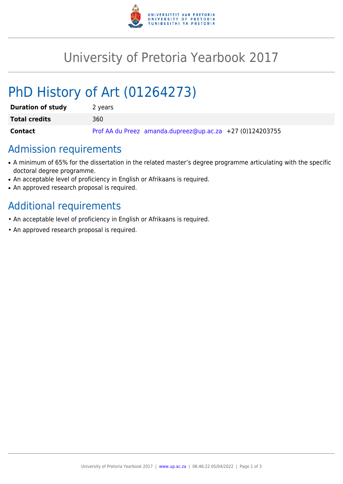

## University of Pretoria Yearbook 2017

# PhD History of Art (01264273)

| <b>Duration of study</b> | 2 years                                                     |
|--------------------------|-------------------------------------------------------------|
| <b>Total credits</b>     | 360                                                         |
| Contact                  | Prof AA du Preez amanda.dupreez@up.ac.za $+27$ (0)124203755 |

#### Admission requirements

- A minimum of 65% for the dissertation in the related master's degree programme articulating with the specific doctoral degree programme.
- An acceptable level of proficiency in English or Afrikaans is required.
- An approved research proposal is required.

## Additional requirements

- An acceptable level of proficiency in English or Afrikaans is required.
- An approved research proposal is required.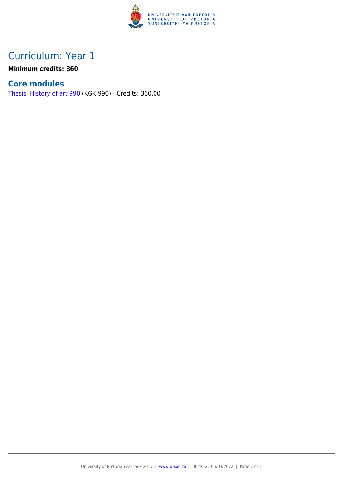

### Curriculum: Year 1

**Minimum credits: 360**

#### **Core modules**

[Thesis: History of art 990](https://www.up.ac.za/mechanical-and-aeronautical-engineering/yearbooks/2017/modules/view/KGK 990) (KGK 990) - Credits: 360.00